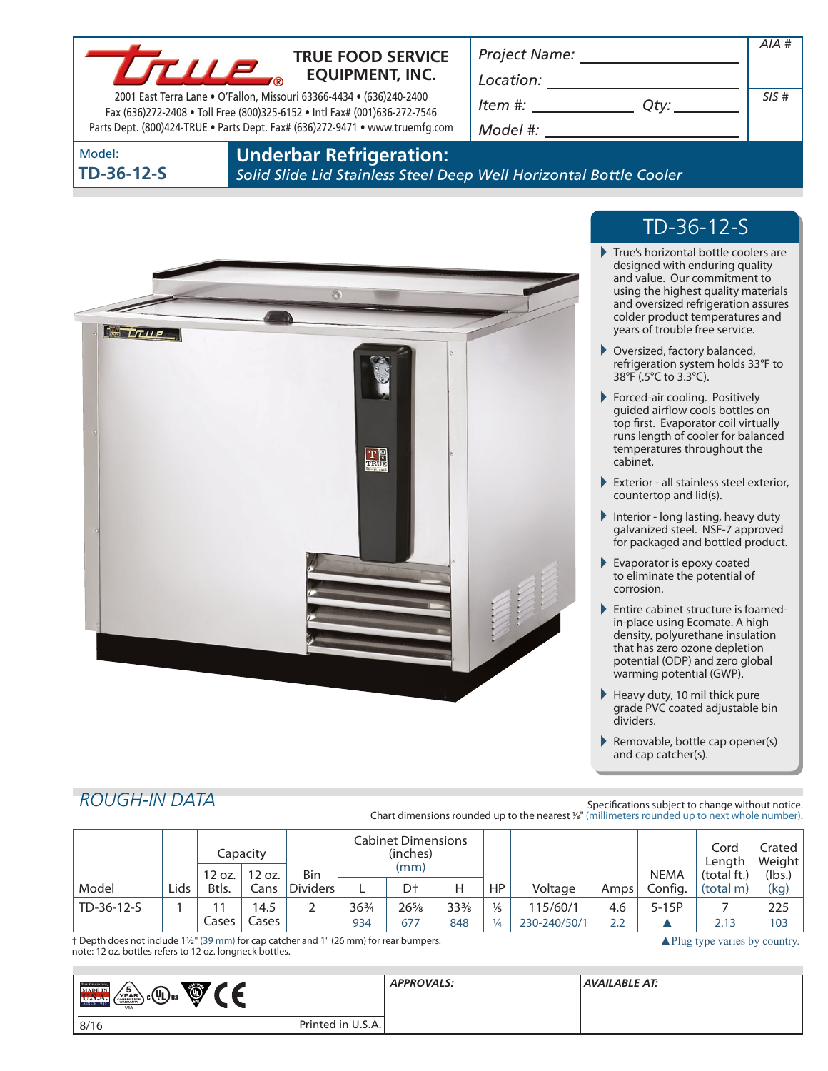

### **TRUE FOOD SERVICE EQUIPMENT, INC.**

2001 East Terra Lane • O'Fallon, Missouri 63366-4434 • (636)240-2400 Fax (636)272-2408 • Toll Free (800)325-6152 • Intl Fax# (001)636-272-7546 Parts Dept. (800)424-TRUE • Parts Dept. Fax# (636)272-9471 • www.truemfg.com *Project Name: Location:*

| Location: |      |      |
|-----------|------|------|
| Item #:   | Qty: | SIS# |
| Model #:  |      |      |
|           |      |      |

Model: **TD-36-12-S**

## **Underbar Refrigeration:**

*Solid Slide Lid Stainless Steel Deep Well Horizontal Bottle Cooler*



## TD-36-12-S

*AIA #*

- True's horizontal bottle coolers are designed with enduring quality and value. Our commitment to using the highest quality materials and oversized refrigeration assures colder product temperatures and years of trouble free service.
- Oversized, factory balanced, refrigeration system holds 33°F to 38°F (.5°C to 3.3°C).
- Forced-air cooling. Positively guided airflow cools bottles on top first. Evaporator coil virtually runs length of cooler for balanced temperatures throughout the cabinet.
- Exterior all stainless steel exterior, countertop and lid(s).
- Interior long lasting, heavy duty galvanized steel. NSF-7 approved for packaged and bottled product.
- Evaporator is epoxy coated to eliminate the potential of corrosion.
- **Entire cabinet structure is foamed**in-place using Ecomate. A high density, polyurethane insulation that has zero ozone depletion potential (ODP) and zero global warming potential (GWP).
- $\blacktriangleright$  Heavy duty, 10 mil thick pure grade PVC coated adjustable bin dividers.
- Removable, bottle cap opener(s) and cap catcher(s).

▲Plug type varies by country.

## *ROUGH-IN DATA*

Specifications subject to change without notice. Chart dimensions rounded up to the nearest %" (millimeters rounded up to next whole number).

|            |      |                 | Capacity       |                 | <b>Cabinet Dimensions</b><br>(inches)<br>(mm) |            |                        |                      |                          |            | Cord<br>Lenath         | -crated<br>Weight        |                |
|------------|------|-----------------|----------------|-----------------|-----------------------------------------------|------------|------------------------|----------------------|--------------------------|------------|------------------------|--------------------------|----------------|
| Model      | Lids | 12 oz.<br>Btls. | 12 oz.<br>Cans | Bin<br>Dividers |                                               | D†         | н                      | <b>HP</b>            | Voltage                  | Amps       | <b>NEMA</b><br>Config. | (total ft.)<br>(total m) | (lbs.)<br>(kg) |
| TD-36-12-S |      | Cases           | ا 4.5<br>Lases | ∠               | 363/4<br>934                                  | 26%<br>677 | $33\frac{3}{8}$<br>848 | $\frac{1}{5}$<br>1⁄4 | 115/60/1<br>230-240/50/1 | 4.6<br>2.2 | $5-15P$                | 2.13                     | 225<br>103     |

† Depth does not include 11/2" (39 mm) for cap catcher and 1" (26 mm) for rear bumpers. note: 12 oz. bottles refers to 12 oz. longneck bottles.

| TRE RETRISTED IN<br>MADE IN<br>SINCE 1945<br>$\mathscr{C}$<br>15<br><sub>յ</sub> շ@տ<br>YEAR<br>USA |                   | <b>APPROVALS:</b> | <b>AVAILABLE AT:</b> |
|-----------------------------------------------------------------------------------------------------|-------------------|-------------------|----------------------|
| 8/16                                                                                                | Printed in U.S.A. |                   |                      |